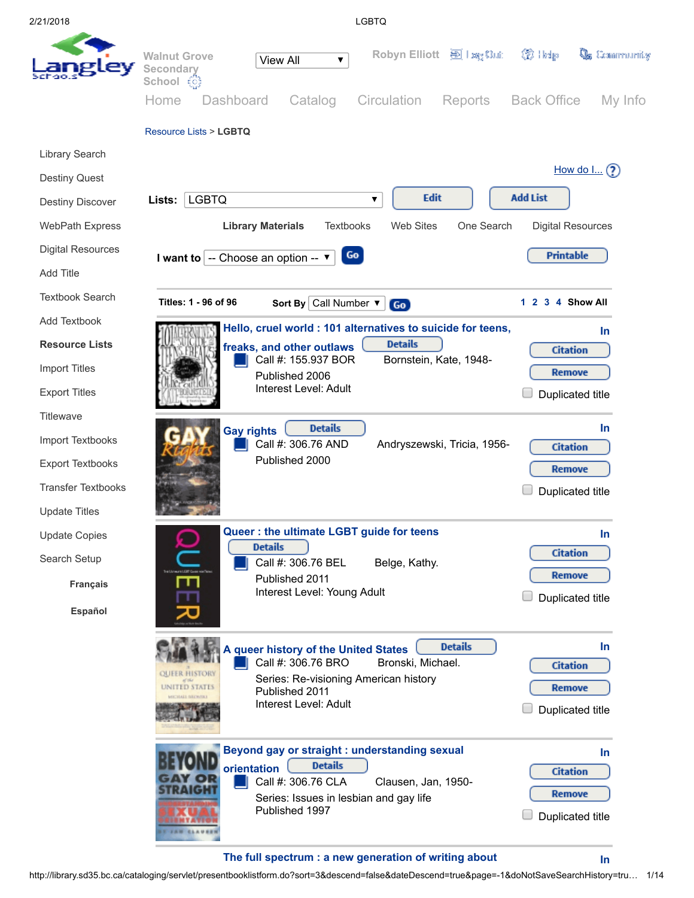2/21/2018 LGBTQ



## The full spectrum : a new [generation](http://library.sd35.bc.ca/cataloging/servlet/presenttitledetailform.do?siteTypeID=-2&bibID=394484&walkerID=1519235627256) of writing about

[In](http://library.sd35.bc.ca/cataloging/servlet/presenttitledetailform.do?siteTypeID=-2&bibID=394484&viewType=2&quantity=1&walkerID=1519235627256)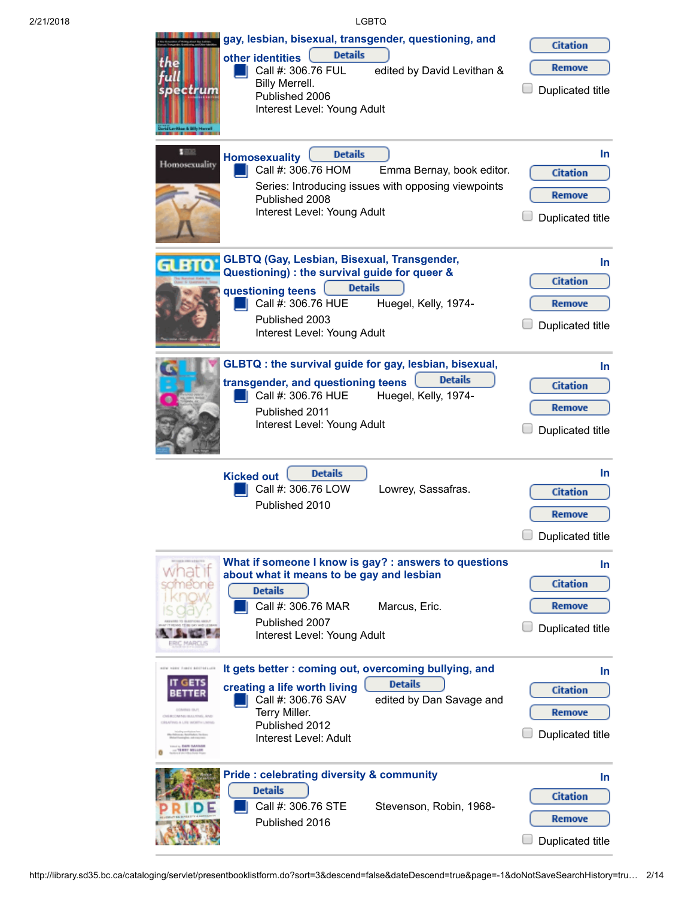| 2/21/2018 | <b>LGBTQ</b>                                                                                                                                                                                                                                                                                                                                                  |                                                               |
|-----------|---------------------------------------------------------------------------------------------------------------------------------------------------------------------------------------------------------------------------------------------------------------------------------------------------------------------------------------------------------------|---------------------------------------------------------------|
|           | gay, lesbian, bisexual, transgender, questioning, and<br><b>Details</b><br>other identities<br>Call #: 306.76 FUL<br>edited by David Levithan &<br>Billy Merrell.<br>spectrum<br>Published 2006<br>Interest Level: Young Adult                                                                                                                                | <b>Citation</b><br>Remove<br>Duplicated title                 |
|           | $-1000$<br><b>Details</b><br><b>Homosexuality</b><br>Homosexuality<br>Call #: 306.76 HOM<br>Emma Bernay, book editor.<br>Series: Introducing issues with opposing viewpoints<br>Published 2008<br>Interest Level: Young Adult                                                                                                                                 | $\ln$<br><b>Citation</b><br>Remove<br>Duplicated title        |
|           | <b>GLBTQ (Gay, Lesbian, Bisexual, Transgender,</b><br>GLBTQ<br>Questioning) : the survival guide for queer &<br><b>Details</b><br>questioning teens<br>Call #: 306.76 HUE<br>Huegel, Kelly, 1974-<br>Published 2003<br>Interest Level: Young Adult                                                                                                            | $\ln$<br><b>Citation</b><br>Remove<br>Duplicated title        |
|           | GLBTQ: the survival guide for gay, lesbian, bisexual,<br><b>Details</b><br>transgender, and questioning teens<br>Call #: 306.76 HUE<br>Huegel, Kelly, 1974-<br>Published 2011<br>Interest Level: Young Adult                                                                                                                                                  | $\ln$<br><b>Citation</b><br>Remove<br>Duplicated title        |
|           | <b>Details</b><br><b>Kicked out</b><br>Call #: 306.76 LOW<br>Lowrey, Sassafras.<br>Published 2010                                                                                                                                                                                                                                                             | $\ln$<br><b>Citation</b><br><b>Remove</b><br>Duplicated title |
|           | What if someone I know is gay? : answers to questions<br>about what it means to be gay and lesbian<br><b>Details</b><br>Call #: 306.76 MAR<br>Marcus, Eric.<br>Published 2007<br>Interest Level: Young Adult                                                                                                                                                  | In.<br><b>Citation</b><br>Remove<br>Duplicated title          |
|           | It gets better: coming out, overcoming bullying, and<br>ANY VERY TANK METERLISE<br><b>Details</b><br>IT GETS<br>creating a life worth living<br>Call #: 306.76 SAV<br>edited by Dan Savage and<br><b>UCA/IREL EBJ1</b><br>Terry Miller.<br>OVERCOMING BULLYING, AND<br>DEATING A LIFE WORTH LIMING<br>Published 2012<br>Interest Level: Adult<br>TREET MELLIN | In.<br><b>Citation</b><br>Remove<br>Duplicated title          |
|           | <b>Pride: celebrating diversity &amp; community</b><br><b>Details</b><br>Call #: 306.76 STE<br>Stevenson, Robin, 1968-<br>Published 2016                                                                                                                                                                                                                      | In.<br><b>Citation</b><br>Remove<br>Duplicated title          |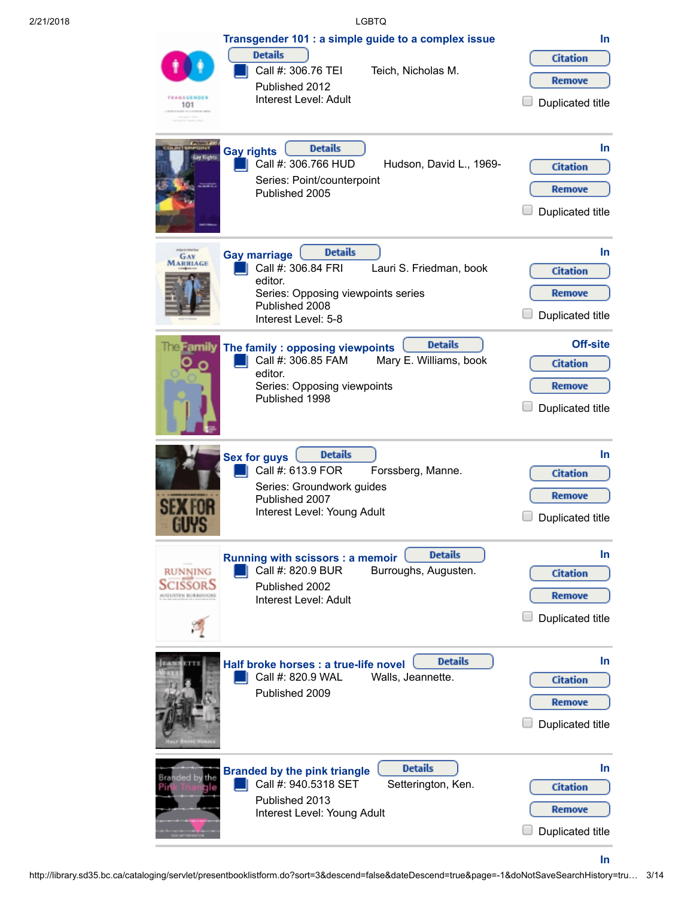| 2/21/2018 |                                               |                                                                                                                                | <b>LGBTQ</b>                                                              |                                                                         |
|-----------|-----------------------------------------------|--------------------------------------------------------------------------------------------------------------------------------|---------------------------------------------------------------------------|-------------------------------------------------------------------------|
|           | <b>TRANSGENDER</b><br>101                     | <b>Details</b><br>Call #: 306.76 TEI<br>Published 2012<br>Interest Level: Adult                                                | Transgender 101 : a simple guide to a complex issue<br>Teich, Nicholas M. | In.<br><b>Citation</b><br><b>Remove</b><br><b>Duplicated title</b>      |
|           | <b>Gay rights</b><br>Gay Kieht                | <b>Details</b><br>Call #: 306.766 HUD<br>Series: Point/counterpoint<br>Published 2005                                          | Hudson, David L., 1969-                                                   | In<br><b>Citation</b><br><b>Remove</b><br><b>Duplicated title</b>       |
|           | <b>Gay marriage</b><br>GAY<br><b>MARRIAGE</b> | <b>Details</b><br>Call #: 306.84 FRI<br>editor.<br>Series: Opposing viewpoints series<br>Published 2008<br>Interest Level: 5-8 | Lauri S. Friedman, book                                                   | In<br><b>Citation</b><br><b>Remove</b><br>Duplicated title              |
|           | The Family                                    | The family: opposing viewpoints<br>Call #: 306.85 FAM<br>editor.<br>Series: Opposing viewpoints<br>Published 1998              | <b>Details</b><br>Mary E. Williams, book                                  | <b>Off-site</b><br><b>Citation</b><br><b>Remove</b><br>Duplicated title |
|           | <b>Sex for guys</b><br><b>UYS</b>             | <b>Details</b><br>Call #: 613.9 FOR<br>Series: Groundwork guides<br>Published 2007<br>Interest Level: Young Adult              | Forssberg, Manne.                                                         | In<br><b>Citation</b><br>Remove<br>Duplicated title                     |
|           | <b>RUNNING</b><br>SCISSORS                    | Running with scissors : a memoir<br>Call #: 820.9 BUR<br>Published 2002<br>Interest Level: Adult                               | <b>Details</b><br>Burroughs, Augusten.                                    | In<br><b>Citation</b><br><b>Remove</b><br>Duplicated title              |
|           |                                               | Half broke horses : a true-life novel<br>Call #: 820.9 WAL<br>Published 2009                                                   | <b>Details</b><br>Walls, Jeannette.                                       | In<br><b>Citation</b><br>Remove<br>Duplicated title                     |
|           | Bra <b>nded b</b> y<br>the                    | <b>Branded by the pink triangle</b><br>Call #: 940.5318 SET<br>Published 2013<br>Interest Level: Young Adult                   | <b>Details</b><br>Setterington, Ken.                                      | In<br><b>Citation</b><br>Remove<br>Duplicated title                     |

[In](http://library.sd35.bc.ca/cataloging/servlet/presenttitledetailform.do?siteTypeID=-2&bibID=465&viewType=2&quantity=1&walkerID=1519235627256)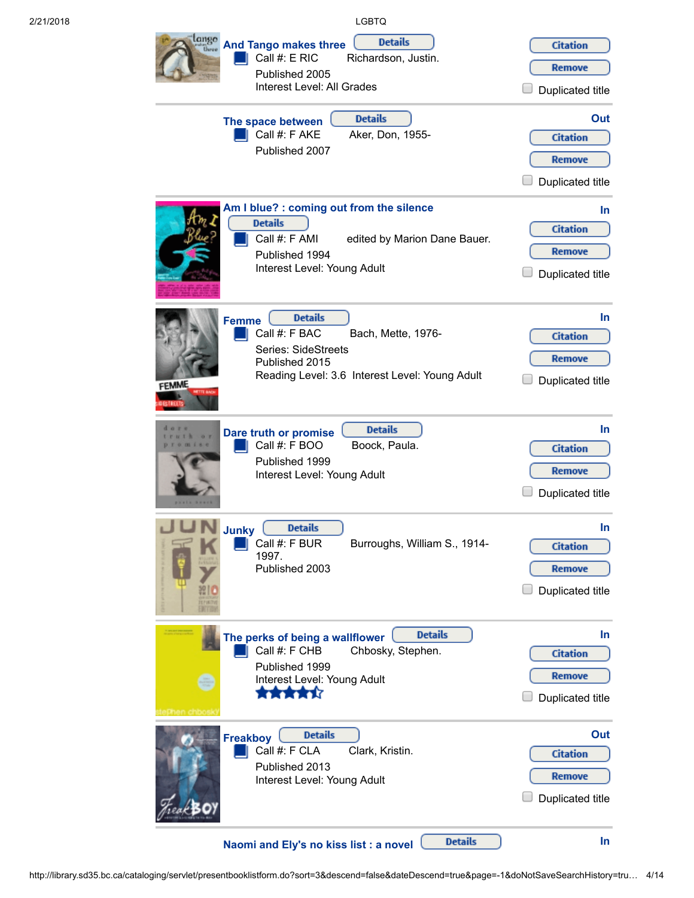| 2/21/2018 |                       |                                                                                                                                   | <b>LGBTQ</b>                          |                |                                                                   |
|-----------|-----------------------|-----------------------------------------------------------------------------------------------------------------------------------|---------------------------------------|----------------|-------------------------------------------------------------------|
|           | lango                 | <b>And Tango makes three</b><br>Call #: E RIC<br>Published 2005<br>Interest Level: All Grades                                     | <b>Details</b><br>Richardson, Justin. |                | <b>Citation</b><br><b>Remove</b><br><b>Duplicated title</b>       |
|           | The space between     | Call #: F AKE<br>Published 2007                                                                                                   | <b>Details</b><br>Aker, Don, 1955-    |                | Out<br><b>Citation</b><br><b>Remove</b><br>Duplicated title       |
|           | <b>Details</b>        | Am I blue? : coming out from the silence<br>Call #: F AMI<br>Published 1994<br>Interest Level: Young Adult                        | edited by Marion Dane Bauer.          |                | In<br><b>Citation</b><br><b>Remove</b><br>Duplicated title        |
|           | <b>Femme</b><br>FEMME | <b>Details</b><br>Call #: F BAC<br><b>Series: SideStreets</b><br>Published 2015<br>Reading Level: 3.6 Interest Level: Young Adult | Bach, Mette, 1976-                    |                | <b>In</b><br><b>Citation</b><br>Remove<br>Duplicated title        |
|           |                       | Dare truth or promise<br>Call #: F BOO<br>Published 1999<br>Interest Level: Young Adult                                           | <b>Details</b><br>Boock, Paula.       |                | <b>In</b><br><b>Citation</b><br>Remove<br><b>Duplicated title</b> |
|           | <b>Junky</b><br>1997. | <b>Details</b><br>Call #: F BUR<br>Published 2003                                                                                 | Burroughs, William S., 1914-          |                | In<br><b>Citation</b><br><b>Remove</b><br><b>Duplicated title</b> |
|           |                       | The perks of being a wallflower<br>Call #: F CHB<br>Published 1999<br>Interest Level: Young Adult<br>*****                        | Chbosky, Stephen.                     | <b>Details</b> | In<br><b>Citation</b><br>Remove<br><b>Duplicated title</b>        |
|           | <b>Freakboy</b>       | <b>Details</b><br>Call #: F CLA<br>Published 2013<br>Interest Level: Young Adult                                                  | Clark, Kristin.                       |                | Out<br><b>Citation</b><br>Remove<br>Duplicated title              |
|           |                       | Naomi and Ely's no kiss list : a novel                                                                                            |                                       | <b>Details</b> | In                                                                |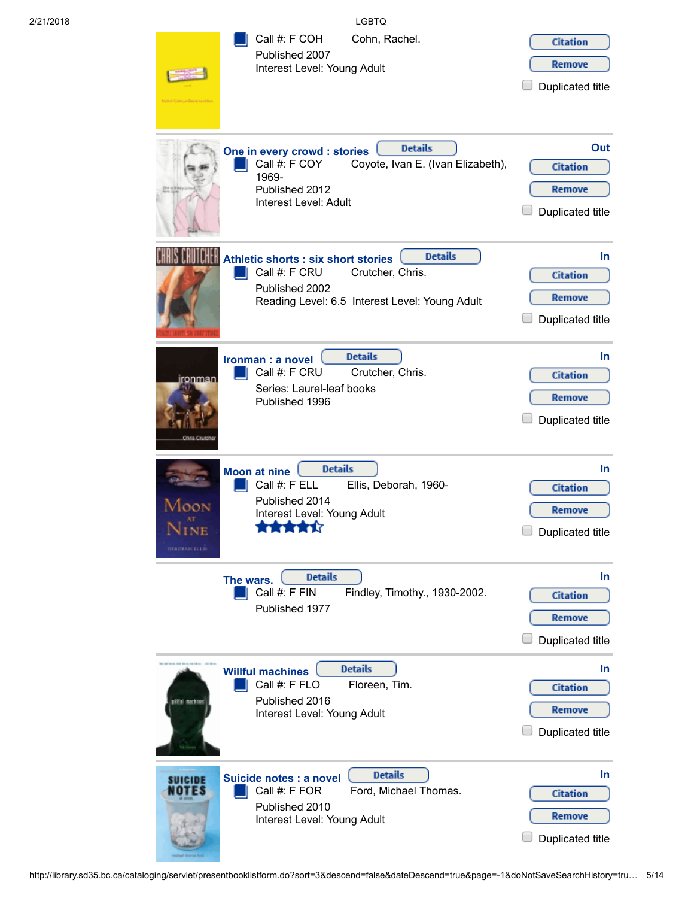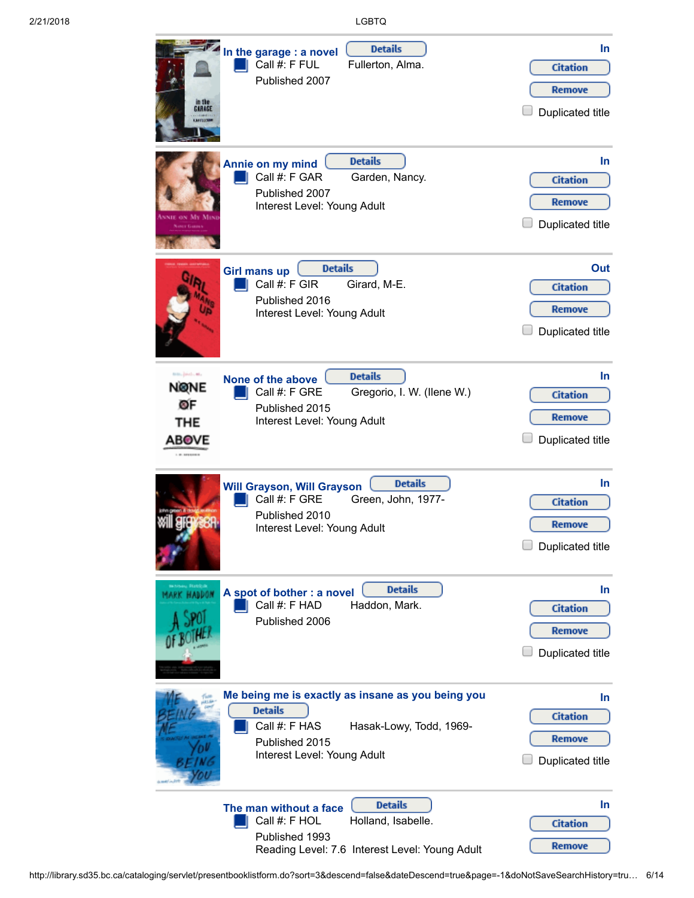| GAAAGE<br><b>LATITIES</b>                                                   | <b>Details</b><br>In the garage : a novel<br>Call #: F FUL<br>Fullerton, Alma.<br>Published 2007                                                                 | <b>In</b><br><b>Citation</b><br><b>Remove</b><br>Duplicated title        |
|-----------------------------------------------------------------------------|------------------------------------------------------------------------------------------------------------------------------------------------------------------|--------------------------------------------------------------------------|
|                                                                             | <b>Details</b><br>Annie on my mind<br>Call #: F GAR<br>Garden, Nancy.<br>Published 2007<br>Interest Level: Young Adult                                           | In.<br><b>Citation</b><br><b>Remove</b><br><b>Duplicated title</b>       |
|                                                                             | <b>Details</b><br><b>Girl mans up</b><br>Call #: F GIR<br>Girard, M-E.<br>Published 2016<br>Interest Level: Young Adult                                          | Out<br><b>Citation</b><br><b>Remove</b><br>Duplicated title              |
| tem, ped., et,<br><b>NØNE</b><br>ØF<br><b>THE</b><br>ABOVE<br>1.01.0210.003 | <b>Details</b><br>None of the above<br>Gregorio, I. W. (Ilene W.)<br>Call #: F GRE<br>Published 2015<br>Interest Level: Young Adult                              | <b>In</b><br><b>Citation</b><br><b>Remove</b><br>Duplicated title        |
|                                                                             | <b>Details</b><br><b>Will Grayson, Will Grayson</b><br>Call #: F GRE<br>Green, John, 1977-<br>Published 2010<br>Interest Level: Young Adult                      | <b>In</b><br><b>Citation</b><br><b>Remove</b><br><b>Duplicated title</b> |
|                                                                             | <b>Details</b><br>A spot of bother : a novel<br>Call #: F HAD<br>Haddon, Mark.<br>Published 2006                                                                 | In.<br><b>Citation</b><br><b>Remove</b><br><b>Duplicated title</b>       |
|                                                                             | Me being me is exactly as insane as you being you<br><b>Details</b><br>Call #: F HAS<br>Hasak-Lowy, Todd, 1969-<br>Published 2015<br>Interest Level: Young Adult | In.<br><b>Citation</b><br>Remove<br>Duplicated title                     |
|                                                                             | <b>Details</b><br>The man without a face<br>Call #: F HOL<br>Holland, Isabelle.<br>Published 1993<br>Reading Level: 7.6 Interest Level: Young Adult              | In<br><b>Citation</b><br>Remove                                          |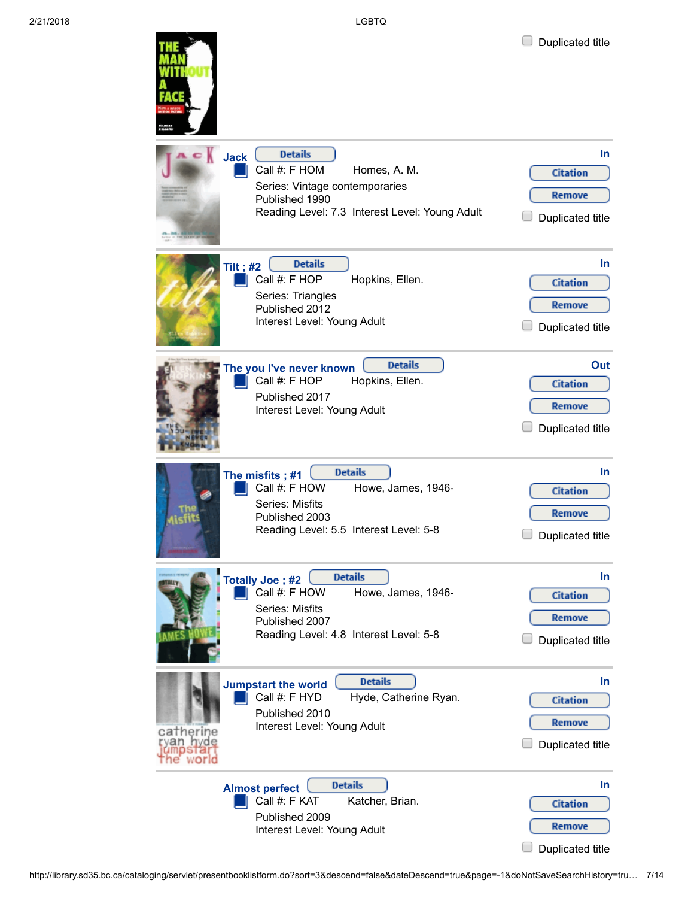**College College** 

| Jack       | <b>Details</b><br>Call #: F HOM<br>Homes, A. M.<br>Series: Vintage contemporaries<br>Published 1990<br>Reading Level: 7.3 Interest Level: Young Adult   | In<br><b>Citation</b><br><b>Remove</b><br><b>Duplicated title</b>        |
|------------|---------------------------------------------------------------------------------------------------------------------------------------------------------|--------------------------------------------------------------------------|
| Tilt; $#2$ | <b>Details</b><br>Call #: F HOP<br>Hopkins, Ellen.<br>Series: Triangles<br>Published 2012<br>Interest Level: Young Adult                                | In.<br><b>Citation</b><br><b>Remove</b><br><b>Duplicated title</b>       |
|            | <b>Details</b><br>The you I've never known<br>Call #: F HOP<br>Hopkins, Ellen.<br>Published 2017<br>Interest Level: Young Adult                         | Out<br><b>Citation</b><br><b>Remove</b><br>Duplicated title              |
|            | <b>Details</b><br>The misfits; #1<br>Call #: F HOW<br>Howe, James, 1946-<br>Series: Misfits<br>Published 2003<br>Reading Level: 5.5 Interest Level: 5-8 | <b>In</b><br><b>Citation</b><br><b>Remove</b><br><b>Duplicated title</b> |
|            | <b>Details</b><br>Totally Joe; #2<br>Call #: F HOW<br>Howe, James, 1946-<br>Series: Misfits<br>Published 2007<br>Reading Level: 4.8 Interest Level: 5-8 | <b>In</b><br><b>Citation</b><br><b>Remove</b><br><b>Duplicated title</b> |
|            | <b>Details</b><br><b>Jumpstart the world</b><br>Call #: F HYD<br>Hyde, Catherine Ryan.<br>Published 2010<br>Interest Level: Young Adult                 | In.<br><b>Citation</b><br><b>Remove</b><br><b>Duplicated title</b>       |
|            | <b>Details</b><br><b>Almost perfect</b><br>Call #: F KAT<br>Katcher, Brian.<br>Published 2009<br>Interest Level: Young Adult                            | In.<br><b>Citation</b><br><b>Remove</b><br><b>Duplicated title</b>       |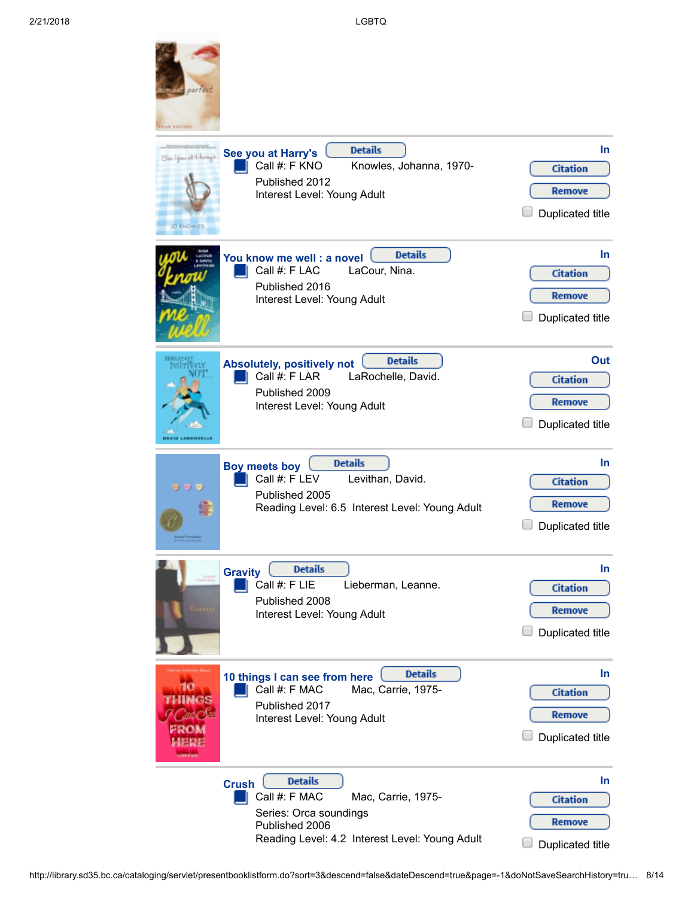and the

| perfect<br>EATOMIA                        |                                                                                                                                                                     |                                                                    |
|-------------------------------------------|---------------------------------------------------------------------------------------------------------------------------------------------------------------------|--------------------------------------------------------------------|
| See You at 4 mays<br><b>O DIGINIES</b>    | <b>Details</b><br>See you at Harry's<br>Call #: F KNO<br>Knowles, Johanna, 1970-<br>Published 2012<br>Interest Level: Young Adult                                   | In.<br><b>Citation</b><br><b>Remove</b><br><b>Duplicated title</b> |
|                                           | <b>Details</b><br>You know me well: a novel<br>Call #: F LAC<br>LaCour, Nina.<br>Published 2016<br>Interest Level: Young Adult                                      | In.<br><b>Citation</b><br><b>Remove</b><br><b>Duplicated title</b> |
| <b>ID LARDONSLL</b>                       | <b>Details</b><br><b>Absolutely, positively not</b><br>Call #: F LAR<br>LaRochelle, David.<br>Published 2009<br>Interest Level: Young Adult                         | Out<br><b>Citation</b><br><b>Remove</b><br>Duplicated title        |
| っっっ<br>ilertil bertition                  | <b>Details</b><br><b>Boy meets boy</b><br>Call #: F LEV<br>Levithan, David.<br>Published 2005<br>Reading Level: 6.5 Interest Level: Young Adult                     | In.<br><b>Citation</b><br><b>Remove</b><br><b>Duplicated title</b> |
|                                           | <b>Details</b><br><b>Gravity</b><br>Call #: F LIE<br>Lieberman, Leanne.<br>Published 2008<br>Interest Level: Young Adult                                            | In<br><b>Citation</b><br><b>Remove</b><br>Duplicated title         |
| 10<br>HINGS<br>аас лев<br>- 20м<br>18.R.B | <b>Details</b><br>10 things I can see from here<br>Mac, Carrie, 1975-<br>Call #: F MAC<br>Published 2017<br>Interest Level: Young Adult                             | In.<br><b>Citation</b><br>Remove<br>Duplicated title               |
|                                           | <b>Details</b><br><b>Crush</b><br>Call #: F MAC<br>Mac, Carrie, 1975-<br>Series: Orca soundings<br>Published 2006<br>Reading Level: 4.2 Interest Level: Young Adult | In.<br><b>Citation</b><br>Remove<br><b>Duplicated title</b>        |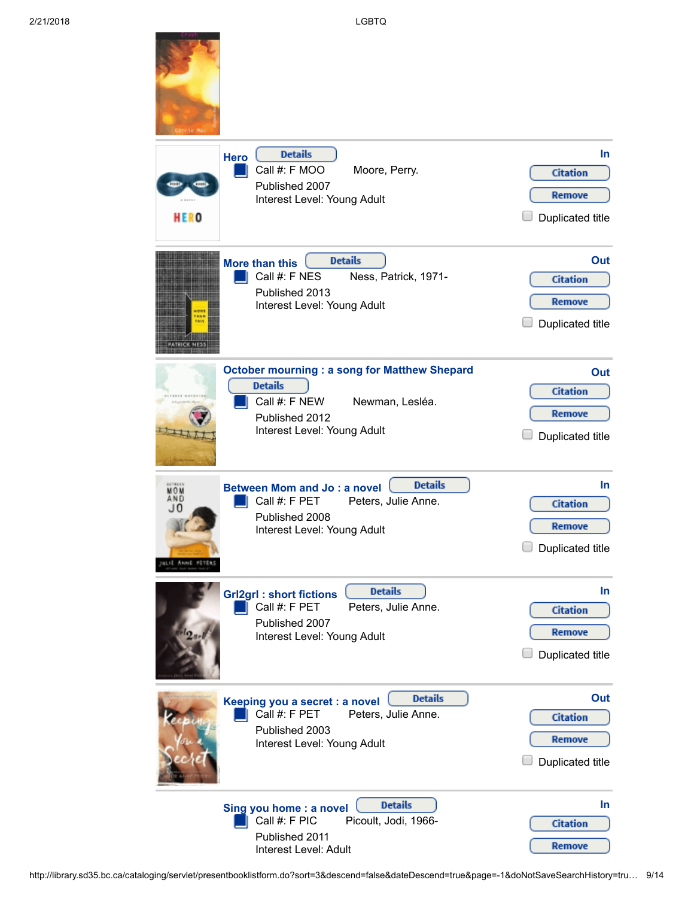f such.

| <b>HERO</b>                                 | <b>Details</b><br><b>Hero</b><br>Call #: F MOO<br>Moore, Perry.<br>Published 2007<br>Interest Level: Young Adult                                           | In.<br><b>Citation</b><br>Remove<br>Duplicated title               |
|---------------------------------------------|------------------------------------------------------------------------------------------------------------------------------------------------------------|--------------------------------------------------------------------|
|                                             | <b>Details</b><br>More than this<br>Call #: F NES<br>Ness, Patrick, 1971-<br>Published 2013<br>Interest Level: Young Adult                                 | Out<br><b>Citation</b><br>Remove<br><b>Duplicated title</b>        |
|                                             | <b>October mourning: a song for Matthew Shepard</b><br><b>Details</b><br>Call #: F NEW<br>Newman, Lesléa.<br>Published 2012<br>Interest Level: Young Adult | Out<br><b>Citation</b><br>Remove<br><b>Duplicated title</b>        |
| 678669<br>MOM<br>AND<br>J0<br>ILIE ANNE PET | <b>Details</b><br><b>Between Mom and Jo: a novel</b><br>Call #: F PET<br>Peters, Julie Anne.<br>Published 2008<br>Interest Level: Young Adult              | In.<br><b>Citation</b><br><b>Remove</b><br>$\Box$ Duplicated title |
|                                             | <b>Details</b><br><b>Grl2grl: short fictions</b><br>Call #: F PET<br>Peters, Julie Anne.<br>Published 2007<br>Interest Level: Young Adult                  | In.<br><b>Citation</b><br><b>Remove</b><br>Duplicated title        |
|                                             | <b>Details</b><br>Keeping you a secret : a novel<br>Call #: F PET<br>Peters, Julie Anne.<br>Published 2003<br>Interest Level: Young Adult                  | Out<br><b>Citation</b><br><b>Remove</b><br><b>Duplicated title</b> |
|                                             | <b>Details</b><br>Sing you home : a novel<br>Call #: F PIC<br>Picoult, Jodi, 1966-<br>Published 2011<br>Interest Level: Adult                              | In.<br><b>Citation</b><br>Remove                                   |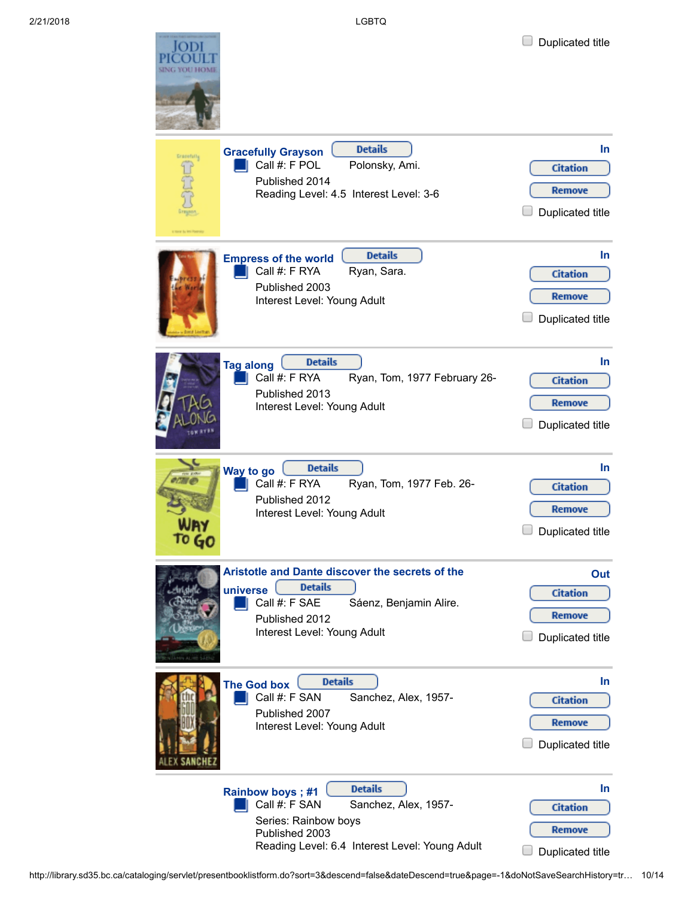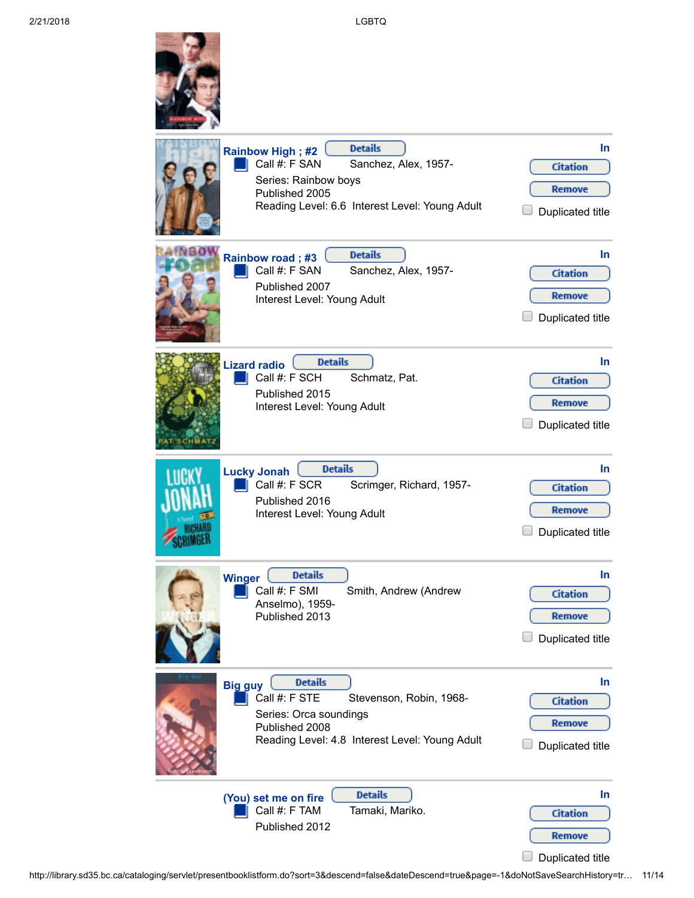|                 | <b>Details</b><br>Rainbow High; #2<br>Call #: F SAN<br>Sanchez, Alex, 1957-<br>Series: Rainbow boys<br>Published 2005<br>Reading Level: 6.6 Interest Level: Young Adult | In.<br><b>Citation</b><br><b>Remove</b><br><b>Duplicated title</b>       |
|-----------------|-------------------------------------------------------------------------------------------------------------------------------------------------------------------------|--------------------------------------------------------------------------|
| NBOW            | <b>Details</b><br><b>Rainbow road; #3</b><br>Call #: F SAN<br>Sanchez, Alex, 1957-<br>Published 2007<br>Interest Level: Young Adult                                     | In.<br><b>Citation</b><br><b>Remove</b><br>Duplicated title              |
|                 | <b>Details</b><br><b>Lizard radio</b><br>Call #: F SCH<br>Schmatz, Pat.<br>Published 2015<br>Interest Level: Young Adult                                                | <b>In</b><br><b>Citation</b><br><b>Remove</b><br>Duplicated title        |
| <b>SCRIMPED</b> | <b>Details</b><br><b>Lucky Jonah</b><br>Call #: F SCR<br>Scrimger, Richard, 1957-<br>Published 2016<br>Interest Level: Young Adult                                      | <b>In</b><br><b>Citation</b><br><b>Remove</b><br>Duplicated title        |
| <b>Winger</b>   | <b>Details</b><br>Call #: F SMI<br>Smith, Andrew (Andrew<br>Anselmo), 1959-<br>Published 2013                                                                           | <b>In</b><br><b>Citation</b><br><b>Remove</b><br><b>Duplicated title</b> |
| <b>Big guy</b>  | <b>Details</b><br>Call #: F STE<br>Stevenson, Robin, 1968-<br>Series: Orca soundings<br>Published 2008<br>Reading Level: 4.8 Interest Level: Young Adult                | <b>In</b><br><b>Citation</b><br><b>Remove</b><br>Duplicated title        |
|                 | <b>Details</b><br>(You) set me on fire<br>Call #: F TAM<br>Tamaki, Mariko.<br>Published 2012                                                                            | <b>In</b><br><b>Citation</b><br>Remove<br><b>Duplicated title</b>        |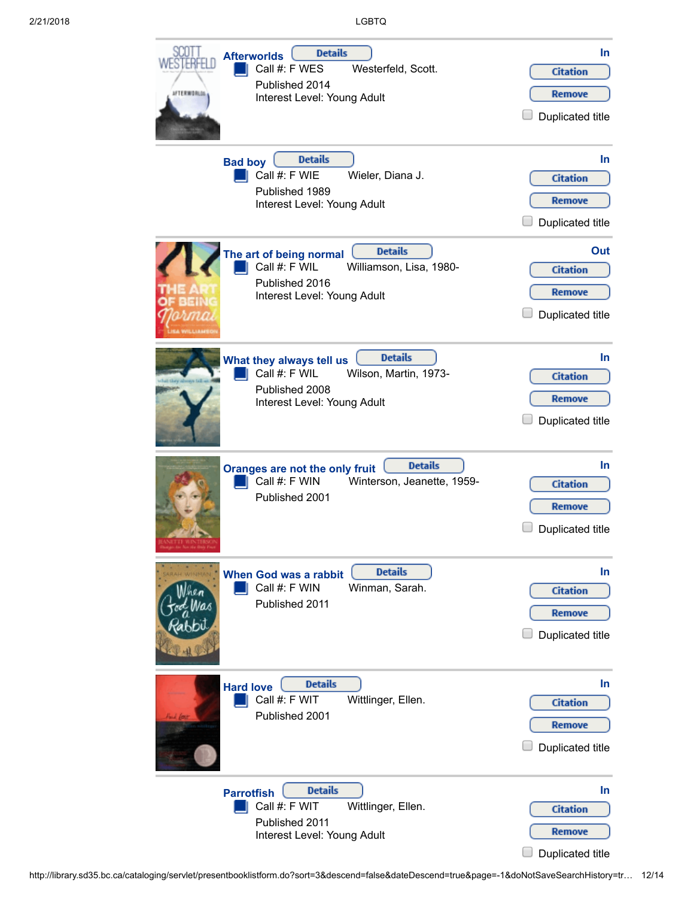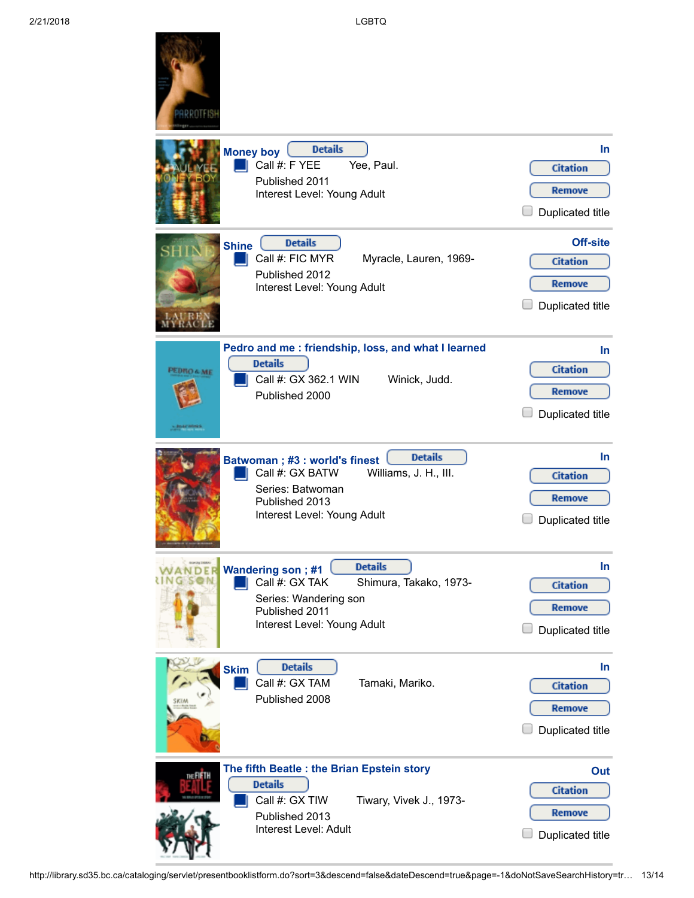|                                           | <b>Details</b><br><b>Money boy</b><br>Call #: F YEE<br>Yee, Paul.<br>Published 2011<br>Interest Level: Young Adult                                              | In.<br><b>Citation</b><br>Remove<br><b>Duplicated title</b>                    |
|-------------------------------------------|-----------------------------------------------------------------------------------------------------------------------------------------------------------------|--------------------------------------------------------------------------------|
| <b>Shine</b>                              | <b>Details</b><br>Call #: FIC MYR<br>Myracle, Lauren, 1969-<br>Published 2012<br>Interest Level: Young Adult                                                    | <b>Off-site</b><br><b>Citation</b><br><b>Remove</b><br><b>Duplicated title</b> |
| <b>PEDRO &amp; ME</b><br><b>MATIONALS</b> | Pedro and me: friendship, loss, and what I learned<br><b>Details</b><br>Call #: GX 362.1 WIN<br>Winick, Judd.<br>Published 2000                                 | In.<br><b>Citation</b><br><b>Remove</b><br><b>Duplicated title</b>             |
|                                           | <b>Details</b><br>Batwoman; #3: world's finest<br>Call #: GX BATW<br>Williams, J. H., III.<br>Series: Batwoman<br>Published 2013<br>Interest Level: Young Adult | In.<br><b>Citation</b><br>Remove<br>Duplicated title                           |
|                                           | <b>Details</b><br>Wandering son; #1<br>Call #: GX TAK<br>Shimura, Takako, 1973-<br>Series: Wandering son<br>Published 2011<br>Interest Level: Young Adult       | In<br><b>Citation</b><br>Remove<br>Duplicated title                            |
| <b>Skim</b>                               | <b>Details</b><br>Call #: GX TAM<br>Tamaki, Mariko.<br>Published 2008                                                                                           | In.<br><b>Citation</b><br>Remove<br>Duplicated title                           |
| THE FIFTH                                 | The fifth Beatle : the Brian Epstein story<br><b>Details</b><br>Call #: GX TIW<br>Tiwary, Vivek J., 1973-<br>Published 2013<br>Interest Level: Adult            | Out<br><b>Citation</b><br>Remove<br>Duplicated title                           |